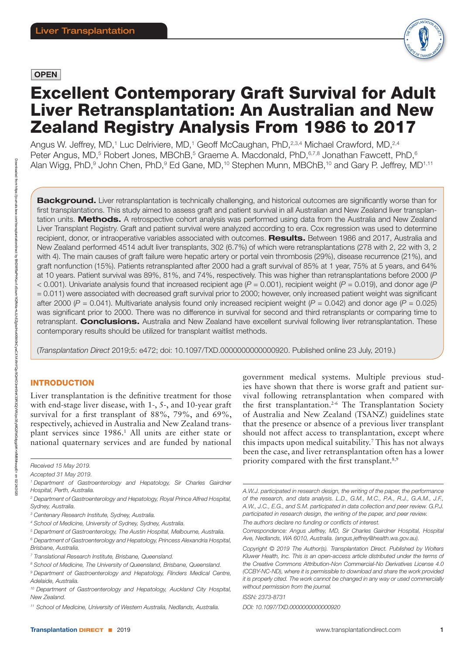## **OPEN**



# Excellent Contemporary Graft Survival for Adult Liver Retransplantation: An Australian and New Zealand Registry Analysis From 1986 to 2017

Angus W. Jeffrey, MD,<sup>1</sup> Luc Delriviere, MD,<sup>1</sup> Geoff McCaughan, PhD,<sup>2,3,4</sup> Michael Crawford, MD,<sup>2,4</sup> Peter Angus, MD,<sup>5</sup> Robert Jones, MBChB,<sup>5</sup> Graeme A. Macdonald, PhD,<sup>6,7,8</sup> Jonathan Fawcett, PhD,<sup>6</sup> Alan Wigg, PhD,<sup>9</sup> John Chen, PhD,<sup>9</sup> Ed Gane, MD,<sup>10</sup> Stephen Munn, MBChB,<sup>10</sup> and Gary P. Jeffrey, MD<sup>1,11</sup>

Background. Liver retransplantation is technically challenging, and historical outcomes are significantly worse than for first transplantations. This study aimed to assess graft and patient survival in all Australian and New Zealand liver transplantation units. Methods. A retrospective cohort analysis was performed using data from the Australia and New Zealand Liver Transplant Registry. Graft and patient survival were analyzed according to era. Cox regression was used to determine recipient, donor, or intraoperative variables associated with outcomes. Results. Between 1986 and 2017, Australia and New Zealand performed 4514 adult liver transplants, 302 (6.7%) of which were retransplantations (278 with 2, 22 with 3, 2 with 4). The main causes of graft failure were hepatic artery or portal vein thrombosis (29%), disease recurrence (21%), and graft nonfunction (15%). Patients retransplanted after 2000 had a graft survival of 85% at 1 year, 75% at 5 years, and 64% at 10 years. Patient survival was 89%, 81%, and 74%, respectively. This was higher than retransplantations before 2000 (*P* < 0.001). Univariate analysis found that increased recipient age (*P* = 0.001), recipient weight (*P* = 0.019), and donor age (*P* = 0.011) were associated with decreased graft survival prior to 2000; however, only increased patient weight was significant after 2000 ( $P = 0.041$ ). Multivariate analysis found only increased recipient weight ( $P = 0.042$ ) and donor age ( $P = 0.025$ ) was significant prior to 2000. There was no difference in survival for second and third retransplants or comparing time to retransplant. Conclusions. Australia and New Zealand have excellent survival following liver retransplantation. These contemporary results should be utilized for transplant waitlist methods.

(*Transplantation Direct* 2019;5: e472; doi: 10.1097/TXD.0000000000000920. Published online 23 July, 2019.)

## **INTRODUCTION**

Liver transplantation is the definitive treatment for those with end-stage liver disease, with 1-, 5-, and 10-year graft survival for a first transplant of 88%, 79%, and 69%, respectively, achieved in Australia and New Zealand transplant services since 1986.<sup>1</sup> All units are either state or national quaternary services and are funded by national

government medical systems. Multiple previous studies have shown that there is worse graft and patient survival following retransplantation when compared with the first transplantation.<sup>2-6</sup> The Transplantation Society of Australia and New Zealand (TSANZ) guidelines state that the presence or absence of a previous liver transplant should not affect access to transplantation, except where this impacts upon medical suitability.7 This has not always been the case, and liver retransplantation often has a lower priority compared with the first transplant.<sup>8,9</sup>

*ISSN: 2373-8731*

*DOI: 10.1097/TXD.0000000000000920*

*Received 15 May 2019.*

*Accepted 31 May 2019.*

*<sup>1</sup> Department of Gastroenterology and Hepatology, Sir Charles Gairdner Hospital, Perth, Australia.*

*<sup>2</sup> Department of Gastroenterology and Hepatology, Royal Prince Alfred Hospital, Sydney, Australia.*

*<sup>3</sup> Centenary Research Institute, Sydney, Australia.*

*<sup>4</sup> School of Medicine, University of Sydney, Sydney, Australia.*

*<sup>5</sup> Department of Gastroenterology, The Austin Hospital, Melbourne, Australia.*

*<sup>6</sup> Department of Gastroenterology and Hepatology, Princess Alexandria Hospital, Brisbane, Australia.*

*<sup>7</sup> Translational Research Institute, Brisbane, Queensland.*

*<sup>8</sup> School of Medicine, The University of Queensland, Brisbane, Queensland.*

*<sup>9</sup> Department of Gastroenterology and Hepatology, Flinders Medical Centre, Adelaide, Australia.*

*<sup>10</sup> Department of Gastroenterology and Hepatology, Auckland City Hospital, New Zealand.*

*<sup>11</sup> School of Medicine, University of Western Australia, Nedlands, Australia.*

*A.W.J. participated in research design, the writing of the paper, the performance of the research, and data analysis. L.D., G.M., M.C., P.A., R.J., G.A.M., J.F., A.W., J.C., E.G., and S.M. participated in data collection and peer review. G.P.J. participated in research design, the writing of the paper, and peer review. The authors declare no funding or conflicts of interest.*

*Correspondence: Angus Jeffrey, MD, Sir Charles Gairdner Hospital, Hospital Ave, Nedlands, WA 6010, Australia. [\(angus.jeffrey@health.wa.gov.au\).](mailto:angus.jeffrey@health.wa.gov.au))*

*Copyright © 2019 The Author(s). Transplantation Direct. Published by Wolters Kluwer Health, Inc. This is an open-access article distributed under the terms of the [Creative Commons Attribution-Non Commercial-No Derivatives License 4.0](http://creativecommons.org/licenses/by-nc-nd/4.0/)  [\(CCBY-NC-ND\),](http://creativecommons.org/licenses/by-nc-nd/4.0/) where it is permissible to download and share the work provided it is properly cited. The work cannot be changed in any way or used commercially without permission from the journal.*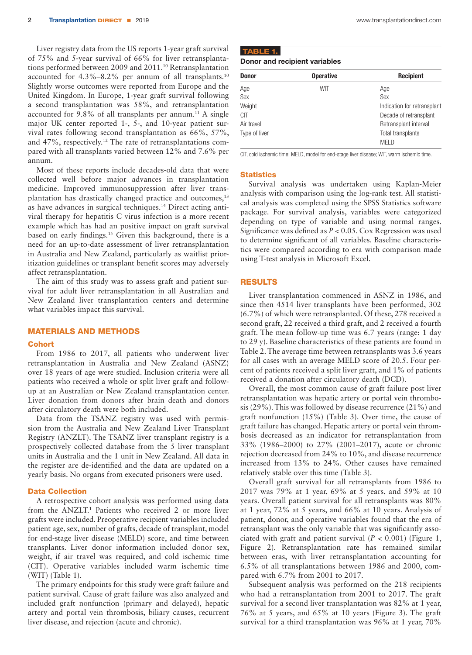Liver registry data from the US reports 1-year graft survival of 75% and 5-year survival of 66% for liver retransplantations performed between 2009 and 2011.10 Retransplantation accounted for 4.3%–8.2% per annum of all transplants.10 Slightly worse outcomes were reported from Europe and the United Kingdom. In Europe, 1-year graft survival following a second transplantation was 58%, and retransplantation accounted for  $9.8\%$  of all transplants per annum.<sup>11</sup> A single major UK center reported 1-, 5-, and 10-year patient survival rates following second transplantation as 66%, 57%, and 47%, respectively.12 The rate of retransplantations compared with all transplants varied between 12% and 7.6% per annum.

Most of these reports include decades-old data that were collected well before major advances in transplantation medicine. Improved immunosuppression after liver transplantation has drastically changed practice and outcomes,<sup>13</sup> as have advances in surgical techniques.14 Direct acting antiviral therapy for hepatitis C virus infection is a more recent example which has had an positive impact on graft survival based on early findings.15 Given this background, there is a need for an up-to-date assessment of liver retransplantation in Australia and New Zealand, particularly as waitlist prioritization guidelines or transplant benefit scores may adversely affect retransplantation.

The aim of this study was to assess graft and patient survival for adult liver retransplantation in all Australian and New Zealand liver transplantation centers and determine what variables impact this survival.

## MATERIALS AND METHODS

#### **Cohort**

From 1986 to 2017, all patients who underwent liver retransplantation in Australia and New Zealand (ASNZ) over 18 years of age were studied. Inclusion criteria were all patients who received a whole or split liver graft and followup at an Australian or New Zealand transplantation center. Liver donation from donors after brain death and donors after circulatory death were both included.

Data from the TSANZ registry was used with permission from the Australia and New Zealand Liver Transplant Registry (ANZLT). The TSANZ liver transplant registry is a prospectively collected database from the 5 liver transplant units in Australia and the 1 unit in New Zealand. All data in the register are de-identified and the data are updated on a yearly basis. No organs from executed prisoners were used.

## Data Collection

A retrospective cohort analysis was performed using data from the ANZLT.<sup>1</sup> Patients who received 2 or more liver grafts were included. Preoperative recipient variables included patient age, sex, number of grafts, decade of transplant, model for end-stage liver disease (MELD) score, and time between transplants. Liver donor information included donor sex, weight, if air travel was required, and cold ischemic time (CIT). Operative variables included warm ischemic time (WIT) (Table 1).

The primary endpoints for this study were graft failure and patient survival. Cause of graft failure was also analyzed and included graft nonfunction (primary and delayed), hepatic artery and portal vein thrombosis, biliary causes, recurrent liver disease, and rejection (acute and chronic).

| Donor and recipien |  |  |
|--------------------|--|--|

Donor and recipient variables

| Donor         | <b>Operative</b> | <b>Recipient</b>            |
|---------------|------------------|-----------------------------|
| Age           | WIT              | Age                         |
| Sex           |                  | Sex                         |
| Weight        |                  | Indication for retransplant |
| CIT           |                  | Decade of retransplant      |
| Air travel    |                  | Retransplant interval       |
| Type of liver |                  | Total transplants           |
|               |                  | <b>MELD</b>                 |

CIT, cold ischemic time; MELD, model for end-stage liver disease; WIT, warm ischemic time.

#### **Statistics**

Survival analysis was undertaken using Kaplan-Meier analysis with comparison using the log-rank test. All statistical analysis was completed using the SPSS Statistics software package. For survival analysis, variables were categorized depending on type of variable and using normal ranges. Significance was defined as *P* < 0.05. Cox Regression was used to determine significant of all variables. Baseline characteristics were compared according to era with comparison made using T-test analysis in Microsoft Excel.

#### RESULTS

Liver transplantation commenced in ASNZ in 1986, and since then 4514 liver transplants have been performed, 302 (6.7%) of which were retransplanted. Of these, 278 received a second graft, 22 received a third graft, and 2 received a fourth graft. The mean follow-up time was 6.7 years (range: 1 day to 29 y). Baseline characteristics of these patients are found in Table 2. The average time between retransplants was 3.6 years for all cases with an average MELD score of 20.5. Four percent of patients received a split liver graft, and 1% of patients received a donation after circulatory death (DCD).

Overall, the most common cause of graft failure post liver retransplantation was hepatic artery or portal vein thrombosis (29%). This was followed by disease recurrence (21%) and graft nonfunction (15%) (Table 3). Over time, the cause of graft failure has changed. Hepatic artery or portal vein thrombosis decreased as an indicator for retransplantation from 33% (1986–2000) to 27% (2001–2017), acute or chronic rejection decreased from 24% to 10%, and disease recurrence increased from 13% to 24%. Other causes have remained relatively stable over this time (Table 3).

Overall graft survival for all retransplants from 1986 to 2017 was 79% at 1 year, 69% at 5 years, and 59% at 10 years. Overall patient survival for all retransplants was 80% at 1 year, 72% at 5 years, and 66% at 10 years. Analysis of patient, donor, and operative variables found that the era of retransplant was the only variable that was significantly associated with graft and patient survival  $(P < 0.001)$  (Figure 1, Figure 2). Retransplantation rate has remained similar between eras, with liver retransplantation accounting for 6.5% of all transplantations between 1986 and 2000, compared with 6.7% from 2001 to 2017.

Subsequent analysis was performed on the 218 recipients who had a retransplantation from 2001 to 2017. The graft survival for a second liver transplantation was 82% at 1 year, 76% at 5 years, and 65% at 10 years (Figure 3). The graft survival for a third transplantation was 96% at 1 year, 70%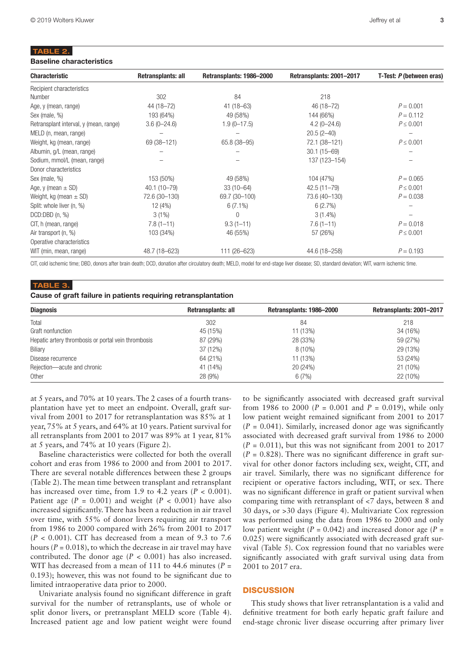## TABLE 2.

#### Baseline characteristics

| <b>Characteristic</b>                  | Retransplants: all | Retransplants: 1986-2000 | Retransplants: 2001-2017 | T-Test: P (between eras) |
|----------------------------------------|--------------------|--------------------------|--------------------------|--------------------------|
| Recipient characteristics              |                    |                          |                          |                          |
| Number                                 | 302                | 84                       | 218                      |                          |
| Age, y (mean, range)                   | 44 (18-72)         | $41(18-63)$              | 46 (18-72)               | $P = 0.001$              |
| Sex (male, %)                          | 193 (64%)          | 49 (58%)                 | 144 (66%)                | $P = 0.112$              |
| Retransplant interval, y (mean, range) | $3.6(0 - 24.6)$    | $1.9(0-17.5)$            | $4.2(0 - 24.6)$          | $P \leq 0.001$           |
| MELD (n, mean, range)                  |                    |                          | $20.5(2-40)$             |                          |
| Weight, kg (mean, range)               | 69 (38-121)        | 65.8 (38-95)             | 72.1 (38-121)            | $P \leq 0.001$           |
| Albumin, g/L (mean, range)             |                    |                          | $30.1(15 - 69)$          |                          |
| Sodium, mmol/L (mean, range)           |                    |                          | 137 (123-154)            |                          |
| Donor characteristics                  |                    |                          |                          |                          |
| Sex (male, %)                          | 153 (50%)          | 49 (58%)                 | 104 (47%)                | $P = 0.065$              |
| Age, y (mean $\pm$ SD)                 | $40.1(10 - 79)$    | $33(10 - 64)$            | $42.5(11 - 79)$          | $P \leq 0.001$           |
| Weight, kg (mean $\pm$ SD)             | 72.6 (30-130)      | 69.7 (30-100)            | 73.6 (40-130)            | $P = 0.038$              |
| Split: whole liver (n, %)              | 12 (4%)            | $6(7.1\%)$               | 6(2.7%)                  |                          |
| DCD:DBD(n, %)                          | $3(1\%)$           | 0                        | $3(1.4\%)$               |                          |
| CIT, h (mean, range)                   | $7.8(1 - 11)$      | $9.3(1 - 11)$            | $7.6(1-11)$              | $P = 0.018$              |
| Air transport (n, %)                   | 103 (34%)          | 46 (55%)                 | 57 (26%)                 | $P \leq 0.001$           |
| Operative characteristics              |                    |                          |                          |                          |
| WIT (min, mean, range)                 | 48.7 (18-623)      | 111 (26-623)             | 44.6 (18-258)            | $P = 0.193$              |

CIT, cold ischemic time; DBD, donors after brain death; DCD, donation after circulatory death; MELD, model for end-stage liver disease; SD, standard deviation; WIT, warm ischemic time.

#### TABLE 3.

## Cause of graft failure in patients requiring retransplantation

| <b>Diagnosis</b>                                    | Retransplants: all | Retransplants: 1986-2000 | Retransplants: 2001-2017 |
|-----------------------------------------------------|--------------------|--------------------------|--------------------------|
| Total                                               | 302                | 84                       | 218                      |
| Graft nonfunction                                   | 45 (15%)           | 11 (13%)                 | 34 (16%)                 |
| Hepatic artery thrombosis or portal vein thrombosis | 87 (29%)           | 28 (33%)                 | 59 (27%)                 |
| Biliary                                             | 37 (12%)           | $8(10\%)$                | 29 (13%)                 |
| Disease recurrence                                  | 64 (21%)           | 11 (13%)                 | 53 (24%)                 |
| Rejection-acute and chronic                         | 41 (14%)           | 20 (24%)                 | 21 (10%)                 |
| Other                                               | 28 (9%)            | 6(7%)                    | 22 (10%)                 |

at 5 years, and 70% at 10 years. The 2 cases of a fourth transplantation have yet to meet an endpoint. Overall, graft survival from 2001 to 2017 for retransplantation was 85% at 1 year, 75% at 5 years, and 64% at 10 years. Patient survival for all retransplants from 2001 to 2017 was 89% at 1 year, 81% at 5 years, and 74% at 10 years (Figure 2).

Baseline characteristics were collected for both the overall cohort and eras from 1986 to 2000 and from 2001 to 2017. There are several notable differences between these 2 groups (Table 2). The mean time between transplant and retransplant has increased over time, from 1.9 to 4.2 years  $(P < 0.001)$ . Patient age  $(P = 0.001)$  and weight  $(P < 0.001)$  have also increased significantly. There has been a reduction in air travel over time, with 55% of donor livers requiring air transport from 1986 to 2000 compared with 26% from 2001 to 2017 (*P* < 0.001). CIT has decreased from a mean of 9.3 to 7.6 hours ( $P = 0.018$ ), to which the decrease in air travel may have contributed. The donor age  $(P < 0.001)$  has also increased. WIT has decreased from a mean of 111 to 44.6 minutes ( $P =$ 0.193); however, this was not found to be significant due to limited intraoperative data prior to 2000.

Univariate analysis found no significant difference in graft survival for the number of retransplants, use of whole or split donor livers, or pretransplant MELD score (Table 4). Increased patient age and low patient weight were found

to be significantly associated with decreased graft survival from 1986 to 2000 ( $P = 0.001$  and  $P = 0.019$ ), while only low patient weight remained significant from 2001 to 2017  $(P = 0.041)$ . Similarly, increased donor age was significantly associated with decreased graft survival from 1986 to 2000  $(P = 0.011)$ , but this was not significant from 2001 to 2017  $(P = 0.828)$ . There was no significant difference in graft survival for other donor factors including sex, weight, CIT, and air travel. Similarly, there was no significant difference for recipient or operative factors including, WIT, or sex. There was no significant difference in graft or patient survival when comparing time with retransplant of <7 days, between 8 and 30 days, or >30 days (Figure 4). Multivariate Cox regression was performed using the data from 1986 to 2000 and only low patient weight ( $P = 0.042$ ) and increased donor age ( $P =$ 0.025) were significantly associated with decreased graft survival (Table 5). Cox regression found that no variables were significantly associated with graft survival using data from 2001 to 2017 era.

### **DISCUSSION**

This study shows that liver retransplantation is a valid and definitive treatment for both early hepatic graft failure and end-stage chronic liver disease occurring after primary liver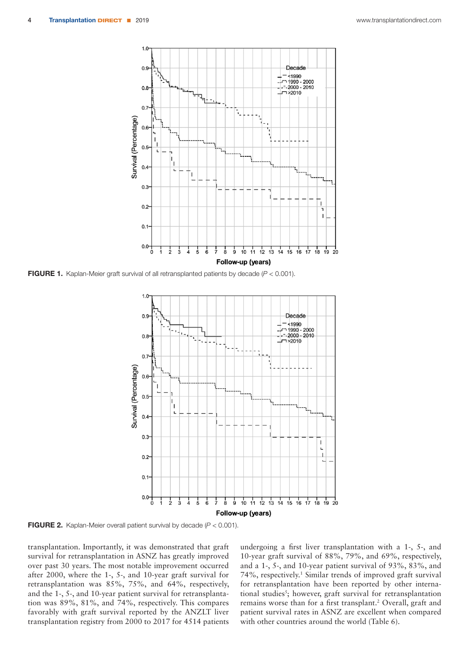

FIGURE 1. Kaplan-Meier graft survival of all retransplanted patients by decade (*P* < 0.001).



FIGURE 2. Kaplan-Meier overall patient survival by decade (*P* < 0.001).

transplantation. Importantly, it was demonstrated that graft survival for retransplantation in ASNZ has greatly improved over past 30 years. The most notable improvement occurred after 2000, where the 1-, 5-, and 10-year graft survival for retransplantation was 85%, 75%, and 64%, respectively, and the 1-, 5-, and 10-year patient survival for retransplantation was 89%, 81%, and 74%, respectively. This compares favorably with graft survival reported by the ANZLT liver transplantation registry from 2000 to 2017 for 4514 patients undergoing a first liver transplantation with a 1-, 5-, and 10-year graft survival of 88%, 79%, and 69%, respectively, and a 1-, 5-, and 10-year patient survival of 93%, 83%, and 74%, respectively.1 Similar trends of improved graft survival for retransplantation have been reported by other international studies<sup>5</sup>; however, graft survival for retransplantation remains worse than for a first transplant.<sup>2</sup> Overall, graft and patient survival rates in ASNZ are excellent when compared with other countries around the world (Table 6).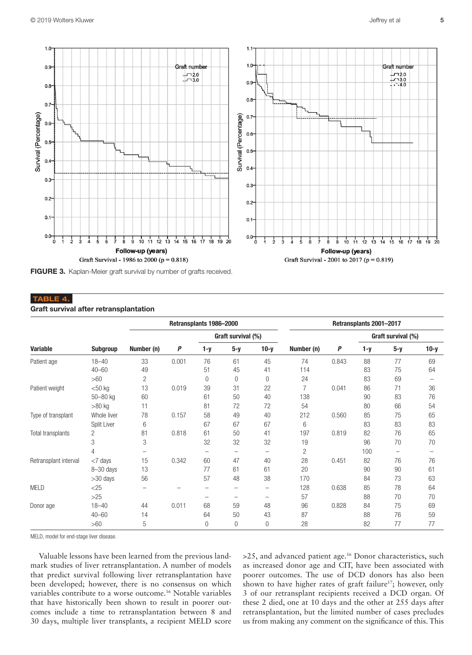

FIGURE 3. Kaplan-Meier graft survival by number of grafts received.

## TABLE 4.

## Graft survival after retransplantation

|                       |             |            |       | Retransplants 1986-2000 |                    |             |            |       | Retransplants 2001-2017 |                    |        |
|-----------------------|-------------|------------|-------|-------------------------|--------------------|-------------|------------|-------|-------------------------|--------------------|--------|
|                       |             |            |       |                         | Graft survival (%) |             |            |       |                         | Graft survival (%) |        |
| <b>Variable</b>       | Subgroup    | Number (n) | P     | $1-y$                   | $5-y$              | $10-y$      | Number (n) | P     | $1-y$                   | $5-y$              | $10-y$ |
| Patient age           | $18 - 40$   | 33         | 0.001 | 76                      | 61                 | 45          | 74         | 0.843 | 88                      | 77                 | 69     |
|                       | $40 - 60$   | 49         |       | 51                      | 45                 | 41          | 114        |       | 83                      | 75                 | 64     |
|                       | >60         | 2          |       | 0                       | $\theta$           | $\mathbf 0$ | 24         |       | 83                      | 69                 |        |
| Patient weight        | $<$ 50 kg   | 13         | 0.019 | 39                      | 31                 | 22          | 7          | 0.041 | 86                      | 71                 | 36     |
|                       | 50-80 kg    | 60         |       | 61                      | 50                 | 40          | 138        |       | 90                      | 83                 | 76     |
|                       | $>80$ kg    | 11         |       | 81                      | 72                 | 72          | 54         |       | 80                      | 66                 | 54     |
| Type of transplant    | Whole liver | 78         | 0.157 | 58                      | 49                 | 40          | 212        | 0.560 | 85                      | 75                 | 65     |
|                       | Split Liver | 6          |       | 67                      | 67                 | 67          | 6          |       | 83                      | 83                 | 83     |
| Total transplants     | 2           | 81         | 0.818 | 61                      | 50                 | 41          | 197        | 0.819 | 82                      | 76                 | 65     |
|                       | 3           | 3          |       | 32                      | 32                 | 32          | 19         |       | 96                      | 70                 | 70     |
|                       | 4           |            |       |                         | -                  |             | 2          |       | 100                     | -                  |        |
| Retransplant interval | $<$ 7 days  | 15         | 0.342 | 60                      | 47                 | 40          | 28         | 0.451 | 82                      | 76                 | 76     |
|                       | 8-30 days   | 13         |       | 77                      | 61                 | 61          | 20         |       | 90                      | 90                 | 61     |
|                       | $>30$ days  | 56         |       | 57                      | 48                 | 38          | 170        |       | 84                      | 73                 | 63     |
| <b>MELD</b>           | $<$ 25      |            |       |                         |                    |             | 128        | 0.638 | 85                      | 78                 | 64     |
|                       | $>25$       |            |       |                         | -                  | -           | 57         |       | 88                      | 70                 | 70     |
| Donor age             | $18 - 40$   | 44         | 0.011 | 68                      | 59                 | 48          | 96         | 0.828 | 84                      | 75                 | 69     |
|                       | $40 - 60$   | 14         |       | 64                      | 50                 | 43          | 87         |       | 88                      | 76                 | 59     |
|                       | >60         | 5          |       | $\theta$                | 0                  | $\Omega$    | 28         |       | 82                      | 77                 | 77     |

MELD, model for end-stage liver disease.

Valuable lessons have been learned from the previous landmark studies of liver retransplantation. A number of models that predict survival following liver retransplantation have been developed; however, there is no consensus on which variables contribute to a worse outcome.16 Notable variables that have historically been shown to result in poorer outcomes include a time to retransplantation between 8 and 30 days, multiple liver transplants, a recipient MELD score

>25, and advanced patient age.16 Donor characteristics, such as increased donor age and CIT, have been associated with poorer outcomes. The use of DCD donors has also been shown to have higher rates of graft failure<sup>17</sup>; however, only 3 of our retransplant recipients received a DCD organ. Of these 2 died, one at 10 days and the other at 255 days after retransplantation, but the limited number of cases precludes us from making any comment on the significance of this. This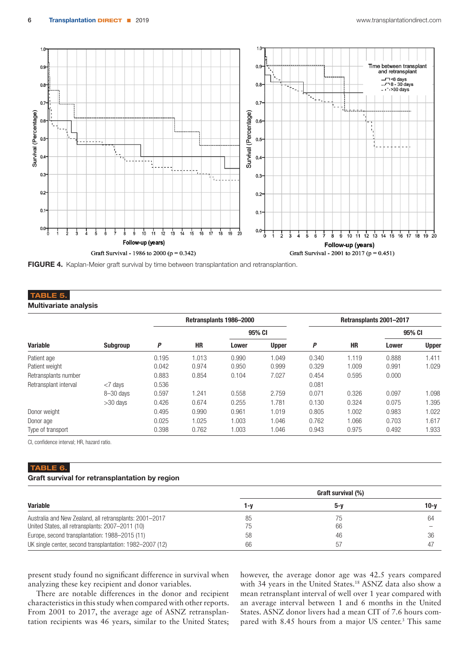

FIGURE 4. Kaplan-Meier graft survival by time between transplantation and retransplantion.

## TABLE 5.

Multivariate analysis

|                       |                 |       |       | Retransplants 1986-2000 |              |       |       | Retransplants 2001-2017 |              |
|-----------------------|-----------------|-------|-------|-------------------------|--------------|-------|-------|-------------------------|--------------|
|                       |                 |       |       | 95% CI                  |              |       |       | 95% CI                  |              |
| <b>Variable</b>       | <b>Subgroup</b> | P     | HR    | Lower                   | <b>Upper</b> | P     | HR    | <b>Lower</b>            | <b>Upper</b> |
| Patient age           |                 | 0.195 | 1.013 | 0.990                   | 1.049        | 0.340 | 1.119 | 0.888                   | 1.411        |
| Patient weight        |                 | 0.042 | 0.974 | 0.950                   | 0.999        | 0.329 | 1.009 | 0.991                   | 1.029        |
| Retransplants number  |                 | 0.883 | 0.854 | 0.104                   | 7.027        | 0.454 | 0.595 | 0.000                   |              |
| Retransplant interval | $<$ 7 days      | 0.536 |       |                         |              | 0.081 |       |                         |              |
|                       | $8 - 30$ davs   | 0.597 | 1.241 | 0.558                   | 2.759        | 0.071 | 0.326 | 0.097                   | 1.098        |
|                       | $>30$ days      | 0.426 | 0.674 | 0.255                   | 1.781        | 0.130 | 0.324 | 0.075                   | 1.395        |
| Donor weight          |                 | 0.495 | 0.990 | 0.961                   | 1.019        | 0.805 | 1.002 | 0.983                   | 1.022        |
| Donor age             |                 | 0.025 | 1.025 | 1.003                   | 1.046        | 0.762 | 1.066 | 0.703                   | 1.617        |
| Type of transport     |                 | 0.398 | 0.762 | 1.003                   | 1.046        | 0.943 | 0.975 | 0.492                   | 1.933        |

CI, confidence interval; HR, hazard ratio.

## TABLE 6.

## Graft survival for retransplantation by region

|                                                          | Graft survival (%) |     |        |  |  |
|----------------------------------------------------------|--------------------|-----|--------|--|--|
| <b>Variable</b>                                          | 1-v                | 5-v | $10-y$ |  |  |
| Australia and New Zealand, all retransplants: 2001-2017  | 85                 | 75  | 64     |  |  |
| United States, all retransplants: 2007-2011 (10)         | 75                 | 66  |        |  |  |
| Europe, second transplantation: 1988–2015 (11)           | 58                 | 46  | 36     |  |  |
| UK single center, second transplantation: 1982–2007 (12) | 66                 | 57  |        |  |  |

present study found no significant difference in survival when analyzing these key recipient and donor variables.

There are notable differences in the donor and recipient characteristics in this study when compared with other reports. From 2001 to 2017, the average age of ASNZ retransplantation recipients was 46 years, similar to the United States;

however, the average donor age was 42.5 years compared with 34 years in the United States.<sup>18</sup> ASNZ data also show a mean retransplant interval of well over 1 year compared with an average interval between 1 and 6 months in the United States. ASNZ donor livers had a mean CIT of 7.6 hours compared with 8.45 hours from a major US center.<sup>3</sup> This same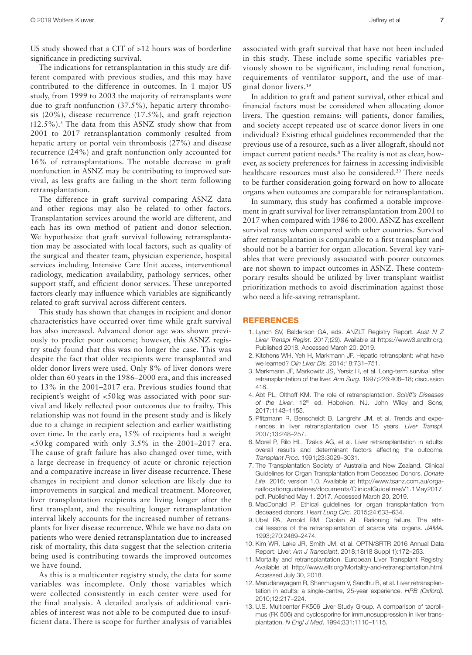US study showed that a CIT of >12 hours was of borderline

significance in predicting survival. The indications for retransplantation in this study are different compared with previous studies, and this may have contributed to the difference in outcomes. In 1 major US study, from 1999 to 2003 the majority of retransplants were due to graft nonfunction (37.5%), hepatic artery thrombosis (20%), disease recurrence (17.5%), and graft rejection  $(12.5\%)$ .<sup>5</sup> The data from this ASNZ study show that from 2001 to 2017 retransplantation commonly resulted from hepatic artery or portal vein thrombosis (27%) and disease recurrence (24%) and graft nonfunction only accounted for 16% of retransplantations. The notable decrease in graft nonfunction in ASNZ may be contributing to improved survival, as less grafts are failing in the short term following retransplantation.

The difference in graft survival comparing ASNZ data and other regions may also be related to other factors. Transplantation services around the world are different, and each has its own method of patient and donor selection. We hypothesize that graft survival following retransplantation may be associated with local factors, such as quality of the surgical and theater team, physician experience, hospital services including Intensive Care Unit access, interventional radiology, medication availability, pathology services, other support staff, and efficient donor services. These unreported factors clearly may influence which variables are significantly related to graft survival across different centers.

This study has shown that changes in recipient and donor characteristics have occurred over time while graft survival has also increased. Advanced donor age was shown previously to predict poor outcome; however, this ASNZ registry study found that this was no longer the case. This was despite the fact that older recipients were transplanted and older donor livers were used. Only 8% of liver donors were older than 60 years in the 1986–2000 era, and this increased to 13% in the 2001–2017 era. Previous studies found that recipient's weight of <50 kg was associated with poor survival and likely reflected poor outcomes due to frailty. This relationship was not found in the present study and is likely due to a change in recipient selection and earlier waitlisting over time. In the early era, 15% of recipients had a weight <50 kg compared with only 3.5% in the 2001–2017 era. The cause of graft failure has also changed over time, with a large decrease in frequency of acute or chronic rejection and a comparative increase in liver disease recurrence. These changes in recipient and donor selection are likely due to improvements in surgical and medical treatment. Moreover, liver transplantation recipients are living longer after the first transplant, and the resulting longer retransplantation interval likely accounts for the increased number of retransplants for liver disease recurrence. While we have no data on patients who were denied retransplantation due to increased risk of mortality, this data suggest that the selection criteria being used is contributing towards the improved outcomes we have found.

As this is a multicenter registry study, the data for some variables was incomplete. Only those variables which were collected consistently in each center were used for the final analysis. A detailed analysis of additional variables of interest was not able to be computed due to insufficient data. There is scope for further analysis of variables

associated with graft survival that have not been included in this study. These include some specific variables previously shown to be significant, including renal function, requirements of ventilator support, and the use of marginal donor livers.19

In addition to graft and patient survival, other ethical and financial factors must be considered when allocating donor livers. The question remains: will patients, donor families, and society accept repeated use of scarce donor livers in one individual? Existing ethical guidelines recommended that the previous use of a resource, such as a liver allograft, should not impact current patient needs.8 The reality is not as clear, however, as society preferences for fairness in accessing indivisible healthcare resources must also be considered.<sup>20</sup> There needs to be further consideration going forward on how to allocate organs when outcomes are comparable for retransplantation.

In summary, this study has confirmed a notable improvement in graft survival for liver retransplantation from 2001 to 2017 when compared with 1986 to 2000. ASNZ has excellent survival rates when compared with other countries. Survival after retransplantation is comparable to a first transplant and should not be a barrier for organ allocation. Several key variables that were previously associated with poorer outcomes are not shown to impact outcomes in ASNZ. These contemporary results should be utilized by liver transplant waitlist prioritization methods to avoid discrimination against those who need a life-saving retransplant.

#### **REFERENCES**

- 1. Lynch SV, Balderson GA, eds. ANZLT Registry Report. *Aust N Z Liver Transpl Regist*. 2017;(29). Available at [https://www3.anzltr.org.](https://www3.anzltr.org) Published 2018. Accessed March 20, 2019.
- 2. Kitchens WH, Yeh H, Markmann JF. Hepatic retransplant: what have we learned? *Clin Liver Dis.* 2014;18:731–751.
- 3. Markmann JF, Markowitz JS, Yersiz H, et al. Long-term survival after retransplantation of the liver. *Ann Surg.* 1997;226:408–18; discussion 418.
- 4. Abt PL, Olthoff KM. The role of retransplantation. *Schiff's Diseases*  of the Liver. 12<sup>th</sup> ed. Hoboken, NJ. John Wiley and Sons; 2017:1143–1155.
- 5. Pfitzmann R, Benscheidt B, Langrehr JM, et al. Trends and experiences in liver retransplantation over 15 years. *Liver Transpl*. 2007;13:248–257.
- 6. Morel P, Rilo HL, Tzakis AG, et al. Liver retransplantation in adults: overall results and determinant factors affecting the outcome. *Transplant Proc.* 1991;23:3029–3031.
- 7. The Transplantation Society of Australia and New Zealand. Clinical Guidelines for Organ Transplantation from Deceased Donors. *Donate Life*. 2016; version 1.0. Available at [http://www.tsanz.com.au/orga](http://www.tsanz.com.au/organallocationguidelines/documents/ClinicalGuidelinesV1.1May2017.pdf)[nallocationguidelines/documents/ClinicalGuidelinesV1.1May2017.](http://www.tsanz.com.au/organallocationguidelines/documents/ClinicalGuidelinesV1.1May2017.pdf) [pdf.](http://www.tsanz.com.au/organallocationguidelines/documents/ClinicalGuidelinesV1.1May2017.pdf) Published May 1, 2017. Accessed March 20, 2019.
- 8. MacDonald P. Ethical guidelines for organ transplantation from deceased donors. *Heart Lung Circ.* 2015;24:633–634.
- 9. Ubel PA, Arnold RM, Caplan AL. Rationing failure. The ethical lessons of the retransplantation of scarce vital organs. *JAMA.* 1993;270:2469–2474.
- 10. Kim WR, Lake JR, Smith JM, et al. OPTN/SRTR 2016 Annual Data Report: Liver. *Am J Transplant*. 2018;18(18 Suppl 1):172–253.
- 11. Mortality and retransplantation. European Liver Transplant Registry. Available at [http://www.eltr.org/Mortality-and-retransplantation.html.](http://www.eltr.org/Mortality-and-retransplantation.html) Accessed July 30, 2018.
- 12. Marudanayagam R, Shanmugam V, Sandhu B, et al. Liver retransplantation in adults: a single-centre, 25-year experience. *HPB (Oxford).* 2010;12:217–224.
- 13. U.S. Multicenter FK506 Liver Study Group. A comparison of tacrolimus (FK 506) and cyclosporine for immunosuppression in liver transplantation. *N Engl J Med*. 1994;331:1110–1115.